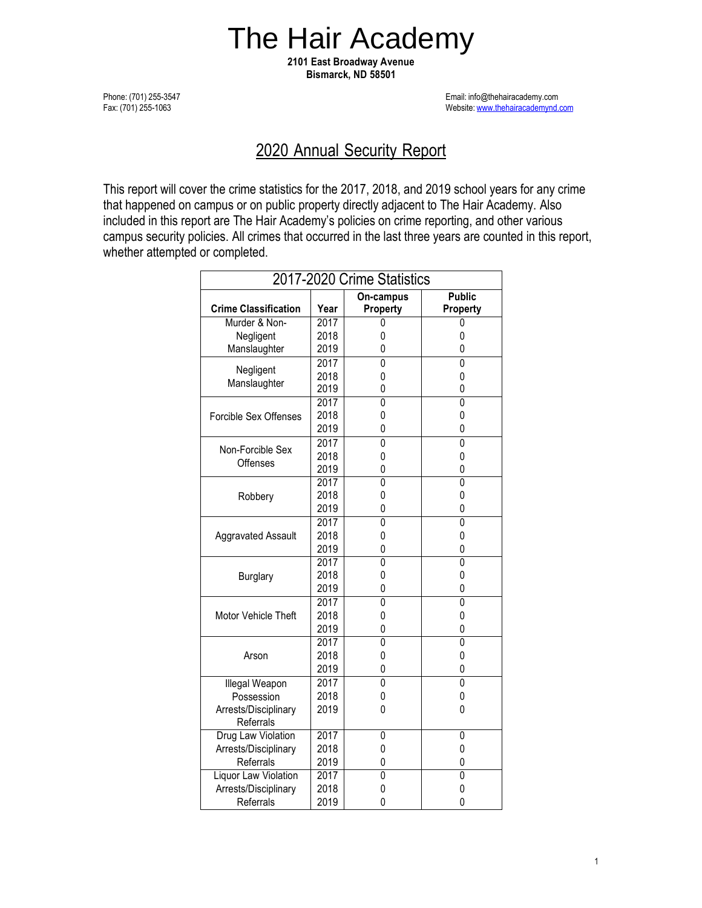# The Hair Academy

**2101 East Broadway Avenue Bismarck, ND 58501**

Phone: (701) 255-3547 Fax: (701) 255-1063

Email: [info@thehairacademy](mailto:thehairacademy@midconetwork.com).com Website[: www.thehairacademynd.com](http://www.thehairacademynd.com/)

# 2020 Annual Security Report

This report will cover the crime statistics for the 2017, 2018, and 2019 school years for any crime that happened on campus or on public property directly adjacent to The Hair Academy. Also included in this report are The Hair Academy's policies on crime reporting, and other various campus security policies. All crimes that occurred in the last three years are counted in this report, whether attempted or completed.

| 2017-2020 Crime Statistics          |      |                |                |  |
|-------------------------------------|------|----------------|----------------|--|
|                                     |      | On-campus      | <b>Public</b>  |  |
| <b>Crime Classification</b>         | Year | Property       | Property       |  |
| Murder & Non-                       | 2017 | 0              | 0              |  |
| Negligent                           | 2018 | 0              | 0              |  |
| Manslaughter                        | 2019 | 0              | 0              |  |
|                                     | 2017 | $\overline{0}$ | $\overline{0}$ |  |
| Negligent<br>Manslaughter           | 2018 | 0              | 0              |  |
|                                     | 2019 | 0              | 0              |  |
| Forcible Sex Offenses               | 2017 | 0              | 0              |  |
|                                     | 2018 | 0              | 0              |  |
|                                     | 2019 | 0              | 0              |  |
| Non-Forcible Sex<br><b>Offenses</b> | 2017 | $\overline{0}$ | $\overline{0}$ |  |
|                                     | 2018 | 0              | 0              |  |
|                                     | 2019 | 0              | 0              |  |
| Robbery                             | 2017 | Ō              | 0              |  |
|                                     | 2018 | 0              | 0              |  |
|                                     | 2019 | 0              | 0              |  |
| <b>Aggravated Assault</b>           | 2017 | $\overline{0}$ | $\overline{0}$ |  |
|                                     | 2018 | 0              | 0              |  |
|                                     | 2019 | 0              | 0              |  |
| <b>Burglary</b>                     | 2017 | 0              | 0              |  |
|                                     | 2018 | 0              | 0              |  |
|                                     | 2019 | 0              | 0              |  |
| Motor Vehicle Theft                 | 2017 | $\overline{0}$ | $\overline{0}$ |  |
|                                     | 2018 | 0              | 0              |  |
|                                     | 2019 | 0              | 0              |  |
| Arson                               | 2017 | 0              | 0              |  |
|                                     | 2018 | 0              | 0              |  |
|                                     | 2019 | 0              | 0              |  |
| Illegal Weapon                      | 2017 | 0              | 0              |  |
| Possession                          | 2018 | 0              | 0              |  |
| Arrests/Disciplinary                | 2019 | 0              | 0              |  |
| Referrals                           |      |                |                |  |
| Drug Law Violation                  | 2017 | 0              | 0              |  |
| Arrests/Disciplinary                | 2018 | 0              | 0              |  |
| Referrals                           | 2019 | 0              | 0              |  |
| Liquor Law Violation                | 2017 | 0              | 0              |  |
| Arrests/Disciplinary                | 2018 | 0              | 0              |  |
| Referrals                           | 2019 | 0              | 0              |  |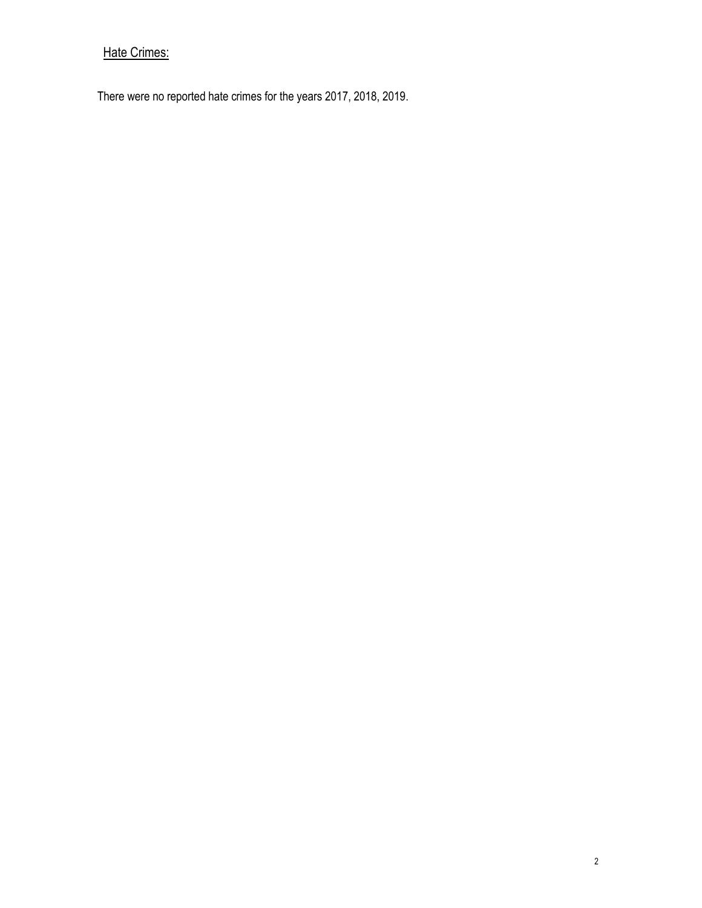# Hate Crimes:

There were no reported hate crimes for the years 2017, 2018, 2019.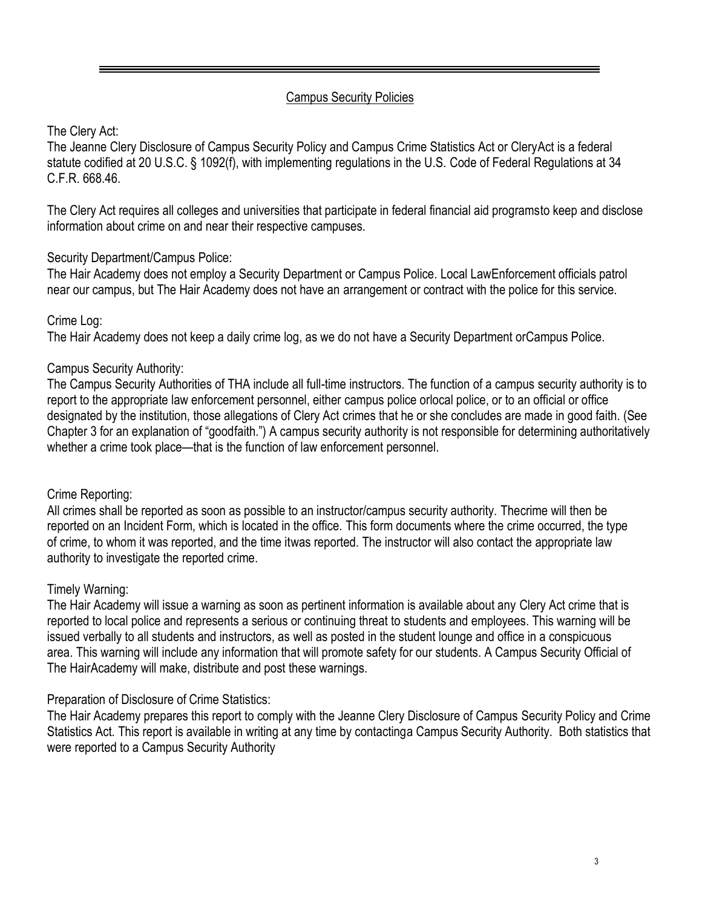#### Campus Security Policies

# The Clery Act:

The Jeanne Clery Disclosure of Campus Security Policy and Campus Crime Statistics Act or CleryAct is a federal statute codified at 20 U.S.C. § 1092(f), with implementing regulations in the U.S. Code of Federal Regulations at 34 C.F.R. 668.46.

The Clery Act requires all colleges and universities that participate in federal financial aid programsto keep and disclose information about crime on and near their respective campuses.

#### Security Department/Campus Police:

The Hair Academy does not employ a Security Department or Campus Police. Local LawEnforcement officials patrol near our campus, but The Hair Academy does not have an arrangement or contract with the police for this service.

# Crime Log:

The Hair Academy does not keep a daily crime log, as we do not have a Security Department orCampus Police.

# Campus Security Authority:

The Campus Security Authorities of THA include all full-time instructors. The function of a campus security authority is to report to the appropriate law enforcement personnel, either campus police orlocal police, or to an official or office designated by the institution, those allegations of Clery Act crimes that he or she concludes are made in good faith. (See Chapter 3 for an explanation of "goodfaith.") A campus security authority is not responsible for determining authoritatively whether a crime took place—that is the function of law enforcement personnel.

#### Crime Reporting:

All crimes shall be reported as soon as possible to an instructor/campus security authority. Thecrime will then be reported on an Incident Form, which is located in the office. This form documents where the crime occurred, the type of crime, to whom it was reported, and the time itwas reported. The instructor will also contact the appropriate law authority to investigate the reported crime.

#### Timely Warning:

The Hair Academy will issue a warning as soon as pertinent information is available about any Clery Act crime that is reported to local police and represents a serious or continuing threat to students and employees. This warning will be issued verbally to all students and instructors, as well as posted in the student lounge and office in a conspicuous area. This warning will include any information that will promote safety for our students. A Campus Security Official of The HairAcademy will make, distribute and post these warnings.

#### Preparation of Disclosure of Crime Statistics:

The Hair Academy prepares this report to comply with the Jeanne Clery Disclosure of Campus Security Policy and Crime Statistics Act. This report is available in writing at any time by contactinga Campus Security Authority. Both statistics that were reported to a Campus Security Authority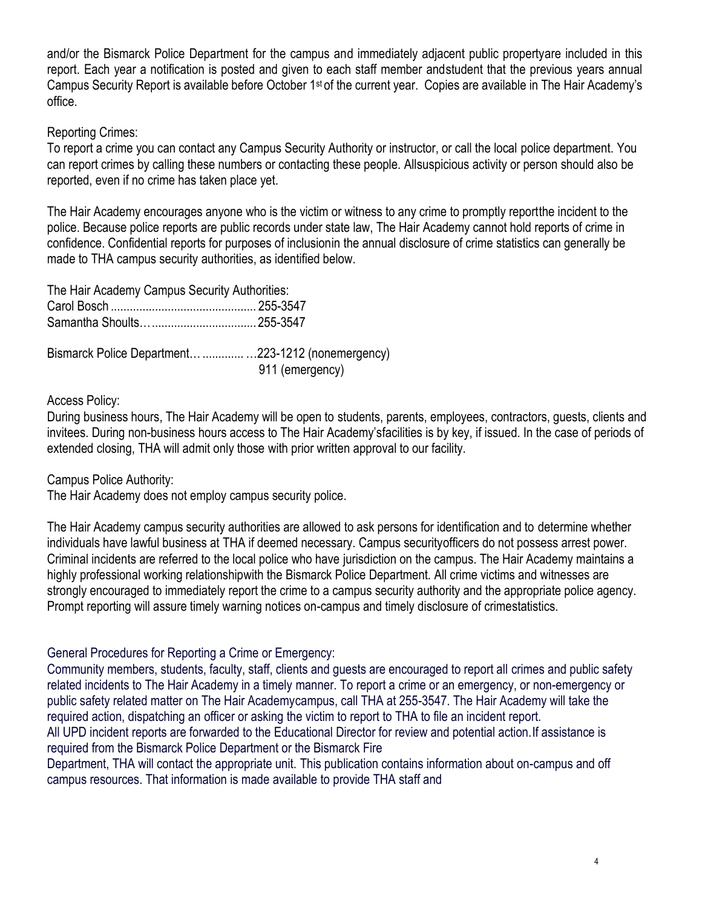and/or the Bismarck Police Department for the campus and immediately adjacent public propertyare included in this report. Each year a notification is posted and given to each staff member andstudent that the previous years annual Campus Security Report is available before October 1st of the current year. Copies are available in The Hair Academy's office.

#### Reporting Crimes:

To report a crime you can contact any Campus Security Authority or instructor, or call the local police department. You can report crimes by calling these numbers or contacting these people. Allsuspicious activity or person should also be reported, even if no crime has taken place yet.

The Hair Academy encourages anyone who is the victim or witness to any crime to promptly reportthe incident to the police. Because police reports are public records under state law, The Hair Academy cannot hold reports of crime in confidence. Confidential reports for purposes of inclusionin the annual disclosure of crime statistics can generally be made to THA campus security authorities, as identified below.

| The Hair Academy Campus Security Authorities:       |                 |
|-----------------------------------------------------|-----------------|
|                                                     |                 |
|                                                     |                 |
| Bismarck Police Department  223-1212 (nonemergency) | 911 (emergency) |

#### Access Policy:

During business hours, The Hair Academy will be open to students, parents, employees, contractors, guests, clients and invitees. During non-business hours access to The Hair Academy'sfacilities is by key, if issued. In the case of periods of extended closing, THA will admit only those with prior written approval to our facility.

Campus Police Authority:

The Hair Academy does not employ campus security police.

The Hair Academy campus security authorities are allowed to ask persons for identification and to determine whether individuals have lawful business at THA if deemed necessary. Campus securityofficers do not possess arrest power. Criminal incidents are referred to the local police who have jurisdiction on the campus. The Hair Academy maintains a highly professional working relationshipwith the Bismarck Police Department. All crime victims and witnesses are strongly encouraged to immediately report the crime to a campus security authority and the appropriate police agency. Prompt reporting will assure timely warning notices on-campus and timely disclosure of crimestatistics.

#### General Procedures for Reporting a Crime or Emergency:

Community members, students, faculty, staff, clients and guests are encouraged to report all crimes and public safety related incidents to The Hair Academy in a timely manner. To report a crime or an emergency, or non-emergency or public safety related matter on The Hair Academycampus, call THA at 255-3547. The Hair Academy will take the required action, dispatching an officer or asking the victim to report to THA to file an incident report.

All UPD incident reports are forwarded to the Educational Director for review and potential action.If assistance is required from the Bismarck Police Department or the Bismarck Fire

Department, THA will contact the appropriate unit. This publication contains information about on-campus and off campus resources. That information is made available to provide THA staff and